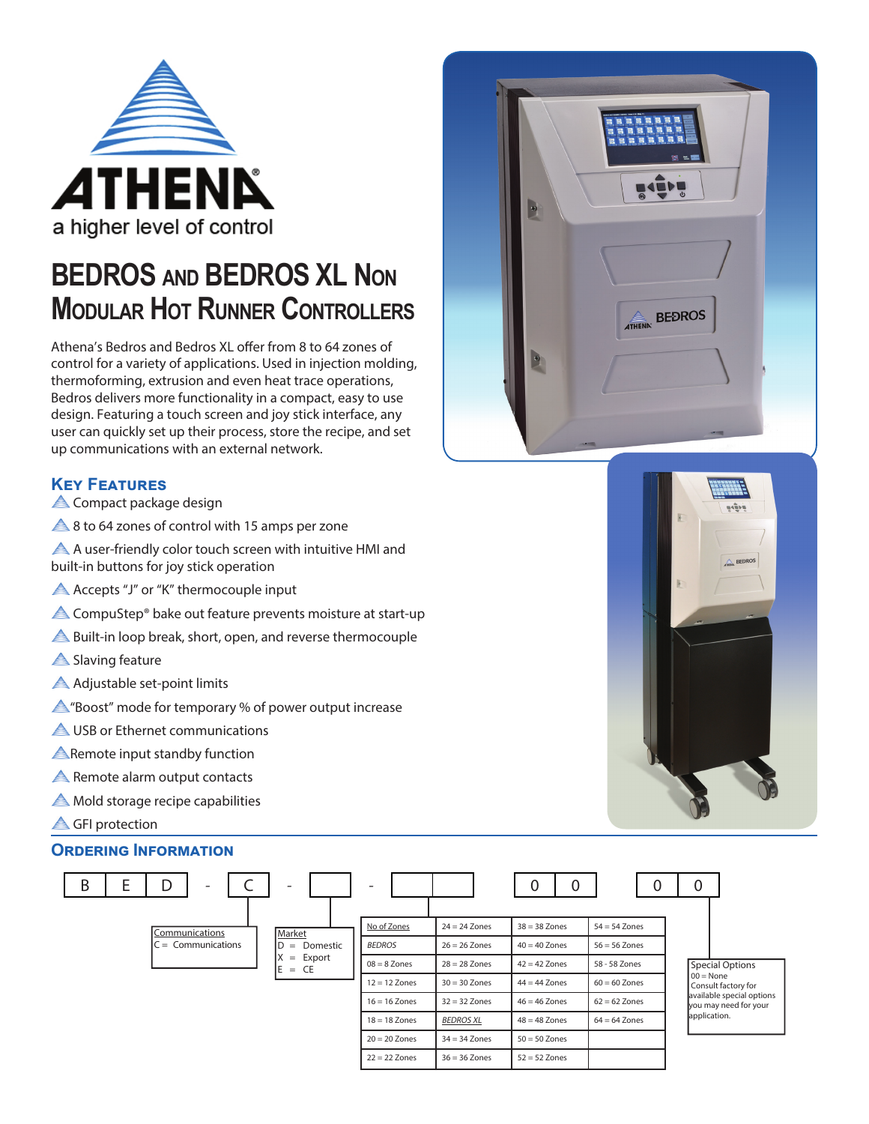

## **BEDROS AND BEDROS XL NON MODULAR HOT RUNNER CONTROLLERS**

Athena's Bedros and Bedros XL offer from 8 to 64 zones of control for a variety of applications. Used in injection molding, thermoforming, extrusion and even heat trace operations, Bedros delivers more functionality in a compact, easy to use design. Featuring a touch screen and joy stick interface, any user can quickly set up their process, store the recipe, and set up communications with an external network.

#### **KeY Features**

Compact package design

- $\triangle$  8 to 64 zones of control with 15 amps per zone
- A user-friendly color touch screen with intuitive HMI and built-in buttons for joy stick operation
- **A** Accepts "J" or "K" thermocouple input
- **A** CompuStep<sup>®</sup> bake out feature prevents moisture at start-up
- **A** Built-in loop break, short, open, and reverse thermocouple
- Slaving feature
- Adjustable set-point limits
- "Boost" mode for temporary % of power output increase
- **A** USB or Ethernet communications
- **A** Remote input standby function
- **A** Remote alarm output contacts
- **A** Mold storage recipe capabilities
- **A** GFI protection

#### **OrDering Information**